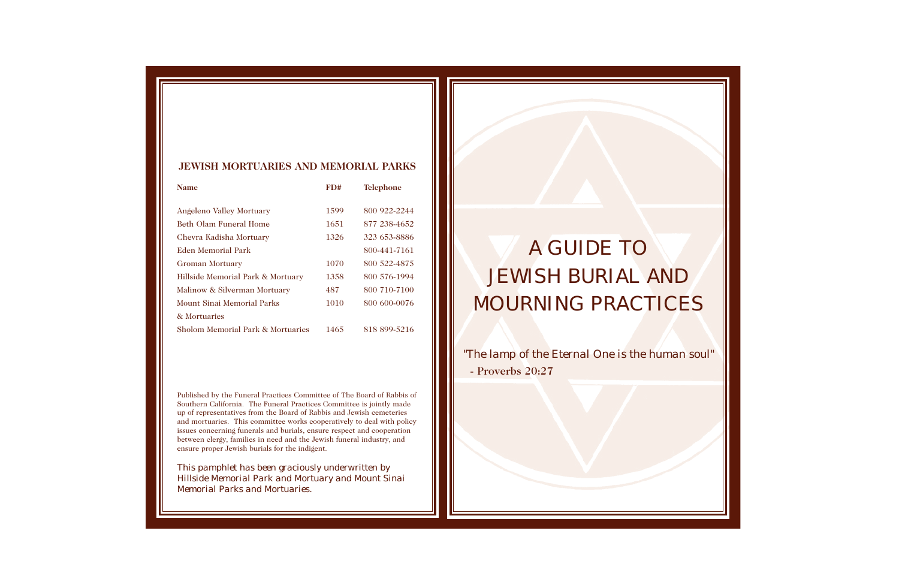# *A GUIDE TO JEWISH BURIAL AND MOURNING PRACTICES*

*"The lamp of the Eternal One is the human soul"* - Proverbs 20:27



Published by the Funeral Practices Committee of The Board of Rabbis of Southern California. The Funeral Practices Committee is jointly made up of representatives from the Board of Rabbis and Jewish cemeteries and mortuaries. This committee works cooperatively to deal with policy issues concerning funerals and burials, ensure respect and cooperation between clergy, families in need and the Jewish funeral industry, and ensure proper Jewish burials for the indigent.

*This pamphlet has been graciously underwritten by Hillside Memorial Park and Mortuary and Mount Sinai Memorial Parks and Mortuaries.*

#### **JEWISH MORTUARIES AND MEMORIAL PARKS**

| FD#  | <b>Telephone</b> |
|------|------------------|
| 1599 | 800 922-2244     |
| 1651 | 877 238-4652     |
| 1326 | 323 653-8886     |
|      | 800-441-7161     |
| 1070 | 800 522-4875     |
| 1358 | 800 576-1994     |
| 487  | 800 710-7100     |
| 1010 | 800 600-0076     |
|      |                  |
| 1465 | 818 899-5216     |
|      |                  |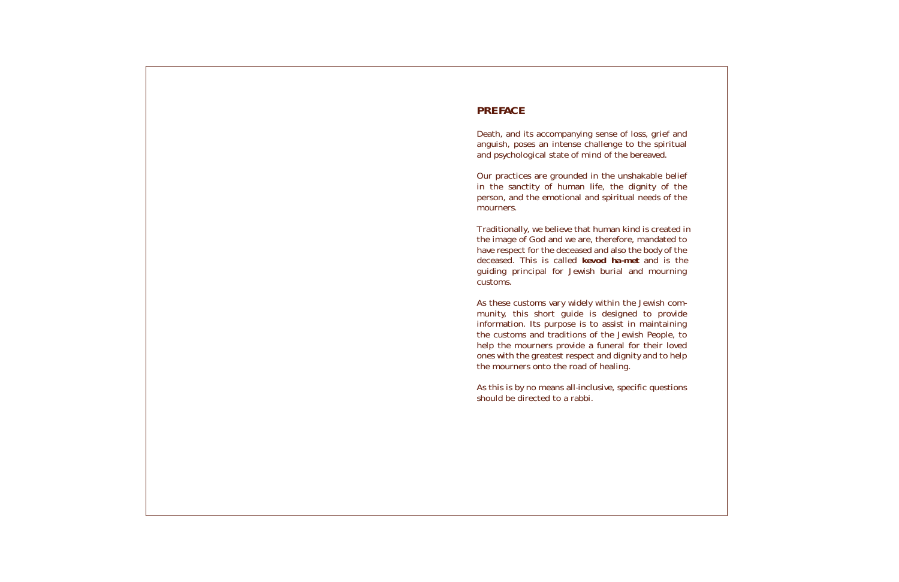# *PREFACE*

Death, and its accompanying sense of loss, grid anguish, poses an intense challenge to the spiritual and psychological state of mind of the bereaved

Our practices are grounded in the unshakable in the sanctity of human life, the dignity person, and the emotional and spiritual needs mourners.

Traditionally, we believe that human kind is created the image of God and we are, therefore, mandat have respect for the deceased and also the body deceased. This is called **kevod ha-met** and guiding principal for Jewish burial and mot customs.

As these customs vary widely within the Jewish munity, this short guide is designed to p information. Its purpose is to assist in maint the customs and traditions of the Jewish Peop help the mourners provide a funeral for their ones with the greatest respect and dignity and the mourners onto the road of healing.

As this is by no means all-inclusive, specific que should be directed to a rabbi.

| ief and<br>piritual<br>d.                                     |
|---------------------------------------------------------------|
| e belief<br>of the<br>of the                                  |
| eated in<br>ated to<br>y of the<br>is the<br>urning           |
| h com-<br>provide<br>taining<br>ple, to<br>r loved<br>to help |
| estions                                                       |
|                                                               |
|                                                               |
|                                                               |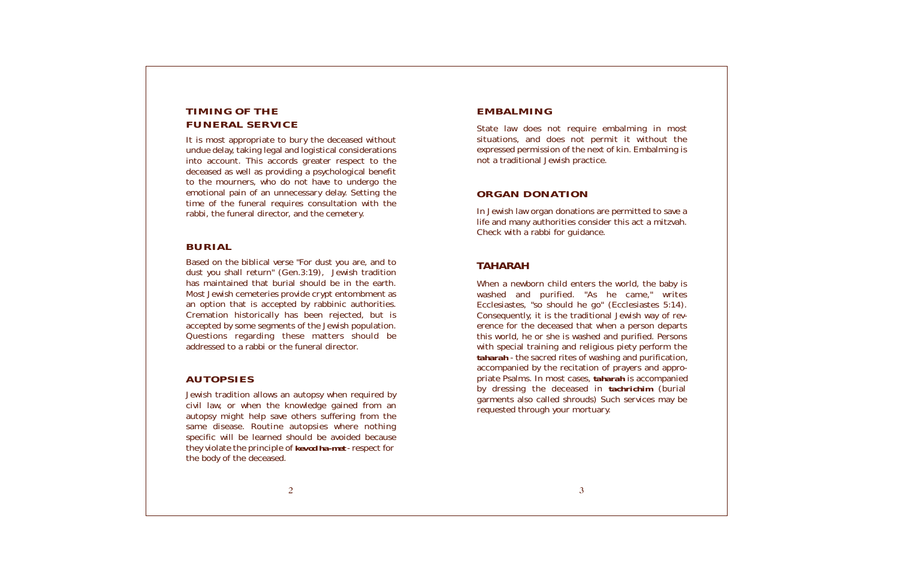# *TIMING OF THE FUNERAL SERVICE*

It is most appropriate to bury the deceased without undue delay, taking legal and logistical considerations into account. This accords greater respect to the deceased as well as providing a psychological benefit to the mourners, who do not have to undergo the emotional pain of an unnecessary delay. Setting the time of the funeral requires consultation with the rabbi, the funeral director, and the cemetery.

### *BURIAL*

Based on the biblical verse "For dust you are, and to dust you shall return" (Gen.3:19), Jewish tradition has maintained that burial should be in the earth. Most Jewish cemeteries provide crypt entombment as an option that is accepted by rabbinic authorities. Cremation historically has been rejected, but is accepted by some segments of the Jewish population. Questions regarding these matters should be addressed to a rabbi or the funeral director.

## *AUTOPSIES*

Jewish tradition allows an autopsy when required by civil law, or when the knowledge gained from an autopsy might help save others suffering from the same disease. Routine autopsies where nothing specific will be learned should be avoided because they violate the principle of *kevod ha-met* - respect for the body of the deceased.

When a newborn child enters the world, the baby is washed and purified. "As he came," writes Ecclesiastes, "so should he go" (Ecclesiastes 5:14). Consequently, it is the traditional Jewish way of reverence for the deceased that when a person departs this world, he or she is washed and purified. Persons with special training and religious piety perform the *taharah* - the sacred rites of washing and purification, accompanied by the recitation of prayers and appropriate Psalms. In most cases, *taharah* is accompanied by dressing the deceased in *tachrichim* (burial garments also called shrouds) Such services may be requested through your mortuary.

## *EMBALMING*

State law does not require embalming in most situations, and does not permit it without the expressed permission of the next of kin. Embalming is not a traditional Jewish practice.

#### *ORGAN DONATION*

In Jewish law organ donations are permitted to save a life and many authorities consider this act a mitzvah. Check with a rabbi for guidance.

## *TAHARAH*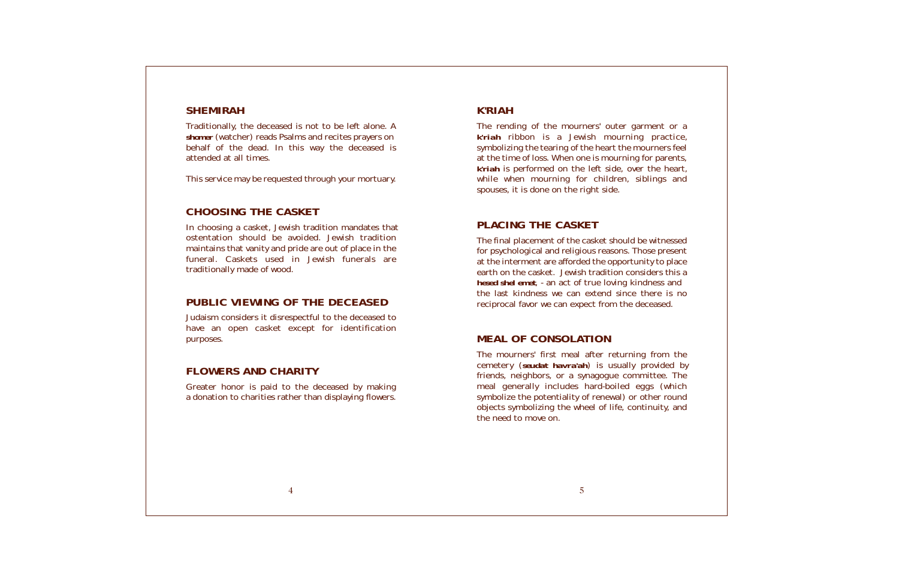#### *SHEMIRAH*

Traditionally, the deceased is not to be left alone. A *shomer* (watcher) reads Psalms and recites prayers on behalf of the dead. In this way the deceased is attended at all times.

This service may be requested through your mortuary.

## *CHOOSING THE CASKET*

In choosing a casket, Jewish tradition mandates that ostentation should be avoided. Jewish tradition maintains that vanity and pride are out of place in the funeral. Caskets used in Jewish funerals are traditionally made of wood.

### *PUBLIC VIEWING OF THE DECEASED*

The rending of the mourners' outer garment *k'riah* ribbon is a Jewish mourning practice. symbolizing the tearing of the heart the mourne at the time of loss. When one is mourning for pa *k'riah* is performed on the left side, over the while when mourning for children, sibling spouses, it is done on the right side.

Judaism considers it disrespectful to the deceased to have an open casket except for identification purposes.

## *FLOWERS AND CHARITY*

Greater honor is paid to the deceased by making a donation to charities rather than displaying flowers.

#### *K'RIAH*

The mourners' first meal after returning from cemetery (*seudat havra'ah*) is usually provided friends, neighbors, or a synagogue committee meal generally includes hard-boiled eggs symbolize the potentiality of renewal) or other objects symbolizing the wheel of life, continuity the need to move on.

| t or a<br>actice,<br>ers feel<br>arents,<br>heart,<br>ys and      |  |
|-------------------------------------------------------------------|--|
| nessed<br>งresent<br>o place<br>s this a<br>s and<br>is no<br>ed. |  |
| $m$ the<br>ded by<br>e. The<br>(which<br>round<br>ty, and         |  |

### *PLACING THE CASKET*

The final placement of the casket should be with for psychological and religious reasons. Those p at the interment are afforded the opportunity to earth on the casket. Jewish tradition considers *hesed shel emet, - an act of true loving kindness* the last kindness we can extend since there reciprocal favor we can expect from the decease

#### *MEAL OF CONSOLATION*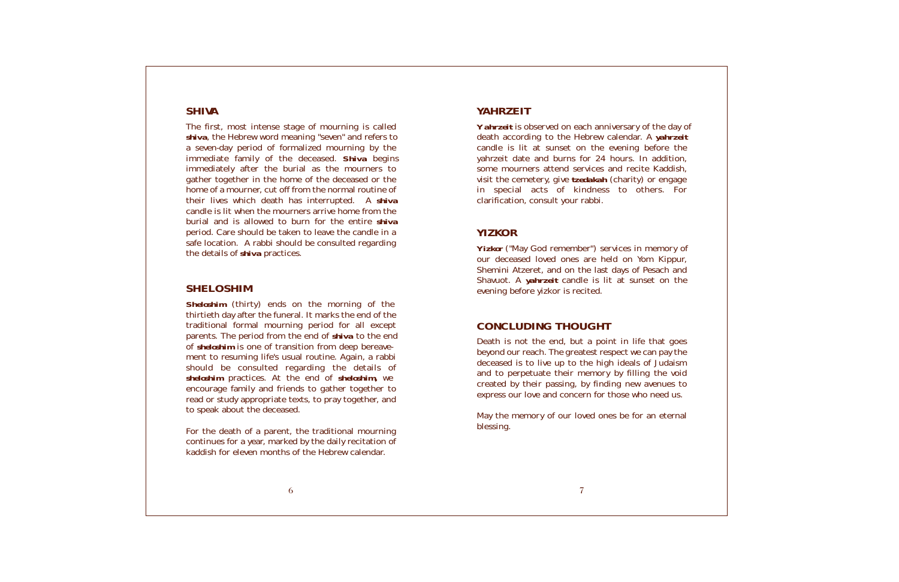| e day of<br>ahrzeit<br>re the<br>dition,<br>addish,<br>engage<br>s. For |  |
|-------------------------------------------------------------------------|--|
| nory of<br><ippur,<br>ch and<br/>on the</ippur,<br>                     |  |
| at goes<br>oay the<br>udaism<br>າe void<br>nues to<br>ed us.<br>eternal |  |
|                                                                         |  |

#### *YAHRZEIT*

*Yahrzeit* is observed on each anniversary of the death according to the Hebrew calendar. A ya candle is lit at sunset on the evening before yahrzeit date and burns for 24 hours. In add some mourners attend services and recite Ka visit the cemetery, give *tzedakah* (charity) or engage in special acts of kindness to others clarification, consult your rabbi.

*Yizkor* ("May God remember") services in mem our deceased loved ones are held on Yom K Shemini Atzeret, and on the last days of Pesad Shavuot. A *yahrzeit* candle is lit at sunset evening before yizkor is recited.

#### *YIZKOR*

May the memory of our loved ones be for an  $\epsilon$ blessing.

### *CONCLUDING THOUGHT*

Death is not the end, but a point in life that beyond our reach. The greatest respect we can p deceased is to live up to the high ideals of Ju and to perpetuate their memory by filling the created by their passing, by finding new aven express our love and concern for those who need

#### *SHIVA*

The first, most intense stage of mourning is called *shiva*, the Hebrew word meaning "seven" and refers to a seven-day period of formalized mourning by the immediate family of the deceased. *Shiva* begins immediately after the burial as the mourners to gather together in the home of the deceased or the home of a mourner, cut off from the normal routine of their lives which death has interrupted. A *shiva* candle is lit when the mourners arrive home from the burial and is allowed to burn for the entire *shiva* period. Care should be taken to leave the candle in a safe location. A rabbi should be consulted regarding the details of *shiva* practices.

#### *SHELOSHIM*

*Sheloshim* (thirty) ends on the morning of the thirtieth day after the funeral. It marks the end of the traditional formal mourning period for all except parents. The period from the end of *shiva* to the end of *sheloshim* is one of transition from deep bereavement to resuming life's usual routine. Again, a rabbi should be consulted regarding the details of *sheloshim* practices. At the end of *sheloshim,* we encourage family and friends to gather together to read or study appropriate texts, to pray together, and to speak about the deceased.

For the death of a parent, the traditional mourning continues for a year, marked by the daily recitation of kaddish for eleven months of the Hebrew calendar.